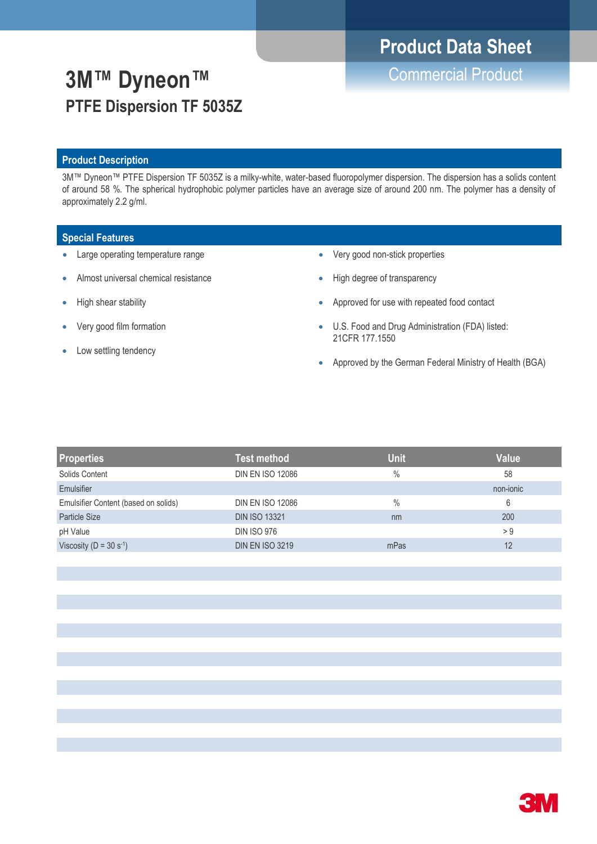# **Product Data Sheet**

# Commercial Product **3M™ Dyneon™ PTFE Dispersion TF 5035Z**

### **Product Description**

3M™ Dyneon™ PTFE Dispersion TF 5035Z is a milky-white, water-based fluoropolymer dispersion. The dispersion has a solids content of around 58 %. The spherical hydrophobic polymer particles have an average size of around 200 nm. The polymer has a density of approximately 2.2 g/ml.

### **Special Features**

- Large operating temperature range
- Almost universal chemical resistance
- High shear stability
- Very good film formation
- Low settling tendency
- Very good non-stick properties
- High degree of transparency
- Approved for use with repeated food contact
- U.S. Food and Drug Administration (FDA) listed: 21CFR 177.1550
- Approved by the German Federal Ministry of Health (BGA)

| <b>Properties</b>                    | <b>Test method</b>      | <b>Unit</b> | <b>Value</b> |
|--------------------------------------|-------------------------|-------------|--------------|
| Solids Content                       | <b>DIN EN ISO 12086</b> | $\%$        | 58           |
| Emulsifier                           |                         |             | non-jonic    |
| Emulsifier Content (based on solids) | <b>DIN EN ISO 12086</b> | $\%$        | 6            |
| Particle Size                        | <b>DIN ISO 13321</b>    | nm          | 200          |
| pH Value                             | <b>DIN ISO 976</b>      |             | > 9          |
| Viscosity ( $D = 30 s^{-1}$ )        | <b>DIN EN ISO 3219</b>  | mPas        | 12           |

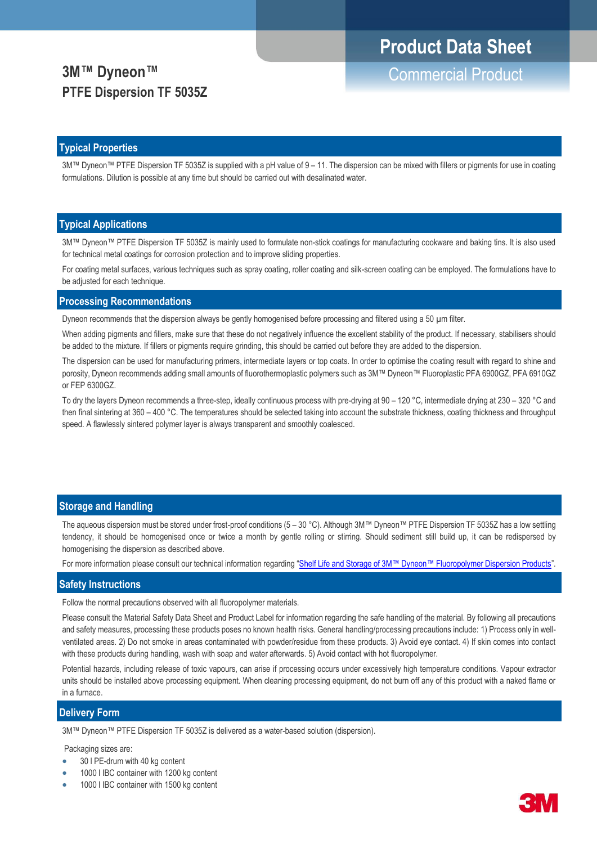# **Product Data Sheet**

### **3M™ Dyneon™ PTFE Dispersion TF 5035Z**

### **Typical Properties**

3M™ Dyneon™ PTFE Dispersion TF 5035Z is supplied with a pH value of 9 – 11. The dispersion can be mixed with fillers or pigments for use in coating formulations. Dilution is possible at any time but should be carried out with desalinated water.

#### **Typical Applications**

3M™ Dyneon™ PTFE Dispersion TF 5035Z is mainly used to formulate non-stick coatings for manufacturing cookware and baking tins. It is also used for technical metal coatings for corrosion protection and to improve sliding properties.

For coating metal surfaces, various techniques such as spray coating, roller coating and silk-screen coating can be employed. The formulations have to be adjusted for each technique.

#### **Processing Recommendations**

Dyneon recommends that the dispersion always be gently homogenised before processing and filtered using a 50  $\mu$ m filter.

When adding pigments and fillers, make sure that these do not negatively influence the excellent stability of the product. If necessary, stabilisers should be added to the mixture. If fillers or pigments require grinding, this should be carried out before they are added to the dispersion.

The dispersion can be used for manufacturing primers, intermediate layers or top coats. In order to optimise the coating result with regard to shine and porosity, Dyneon recommends adding small amounts of fluorothermoplastic polymers such as 3M™ Dyneon™ Fluoroplastic PFA 6900GZ, PFA 6910GZ or FEP 6300GZ.

To dry the layers Dyneon recommends a three-step, ideally continuous process with pre-drying at 90 – 120 °C, intermediate drying at 230 – 320 °C and then final sintering at 360 – 400 °C. The temperatures should be selected taking into account the substrate thickness, coating thickness and throughput speed. A flawlessly sintered polymer layer is always transparent and smoothly coalesced.

#### **Storage and Handling**

The aqueous dispersion must be stored under frost-proof conditions (5 – 30 °C). Although 3M™ Dyneon™ PTFE Dispersion TF 5035Z has a low settling tendency, it should be homogenised once or twice a month by gentle rolling or stirring. Should sediment still build up, it can be redispersed by homogenising the dispersion as described above.

For more information please consult our technical information regarding ["Shelf Life and Storage of 3M™ Dyneon™ Fluoropolymer Dispersion Products"](http://multimedia.3m.com/mws/mediawebserver?mwsId=SSSSSuH8gc7nZxtUPx2G5x_1evUqe17zHvTSevTSeSSSSSS--).

#### **Safety Instructions**

Follow the normal precautions observed with all fluoropolymer materials.

Please consult the Material Safety Data Sheet and Product Label for information regarding the safe handling of the material. By following all precautions and safety measures, processing these products poses no known health risks. General handling/processing precautions include: 1) Process only in wellventilated areas. 2) Do not smoke in areas contaminated with powder/residue from these products. 3) Avoid eye contact. 4) If skin comes into contact with these products during handling, wash with soap and water afterwards. 5) Avoid contact with hot fluoropolymer.

Potential hazards, including release of toxic vapours, can arise if processing occurs under excessively high temperature conditions. Vapour extractor units should be installed above processing equipment. When cleaning processing equipment, do not burn off any of this product with a naked flame or in a furnace.

#### **Delivery Form**

3M™ Dyneon™ PTFE Dispersion TF 5035Z is delivered as a water-based solution (dispersion).

Packaging sizes are:

- 30 I PE-drum with 40 kg content
- 1000 l IBC container with 1200 kg content
- 1000 l IBC container with 1500 kg content